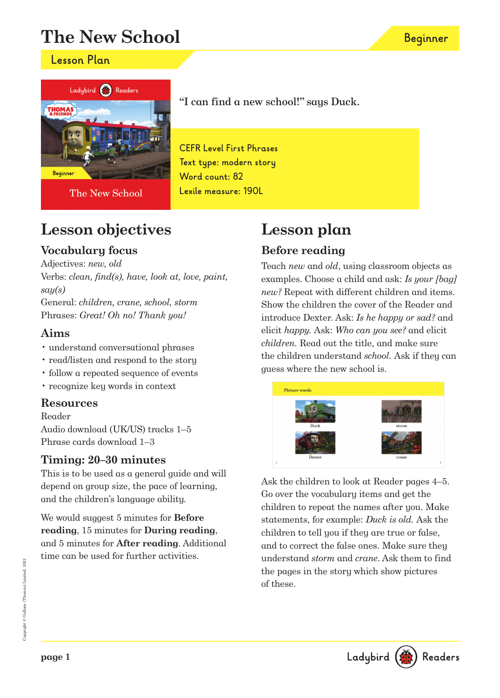# **The New School**

### **Lesson Plan**



The New School

## **Lesson objectives**

### **Vocabulary focus**

Adjectives: new, old

Verbs: clean, find(s), have, look at, love, paint,  $say(s)$ General: children, crane, school, storm

Phrases: Great! Oh no! Thank you!

### **Aims**

- understand conversational phrases
- read/listen and respond to the story
- follow a repeated sequence of events
- recognize key words in context

### **Resources**

Reader Audio download (UK/US) tracks 1–5 Phrase cards download 1–3

### **Timing: 20–30 minutes**

This is to be used as a general guide and will depend on group size, the pace of learning, and the children's language ability.

We would suggest 5 minutes for **Before reading**, 15 minutes for **During reading**, and 5 minutes for **After reading**. Additional time can be used for further activities.

## "I can find a new school!" says Duck.

**CEFR Level First Phrases Text type: modern story Word count: 82 Lexile measure: 190L**

# **Lesson plan**

### **Before reading**

Teach new and old, using classroom objects as examples. Choose a child and ask: Is your [bag] new? Repeat with different children and items. Show the children the cover of the Reader and introduce Dexter. Ask: Is he happy or sad? and elicit happy. Ask: Who can you see? and elicit children. Read out the title, and make sure the children understand school. Ask if they can guess where the new school is.



Ask the children to look at Reader pages 4–5. Go over the vocabulary items and get the children to repeat the names after you. Make statements, for example: Duck is old. Ask the children to tell you if they are true or false, and to correct the false ones. Make sure they understand storm and crane. Ask them to find the pages in the story which show pictures of these.